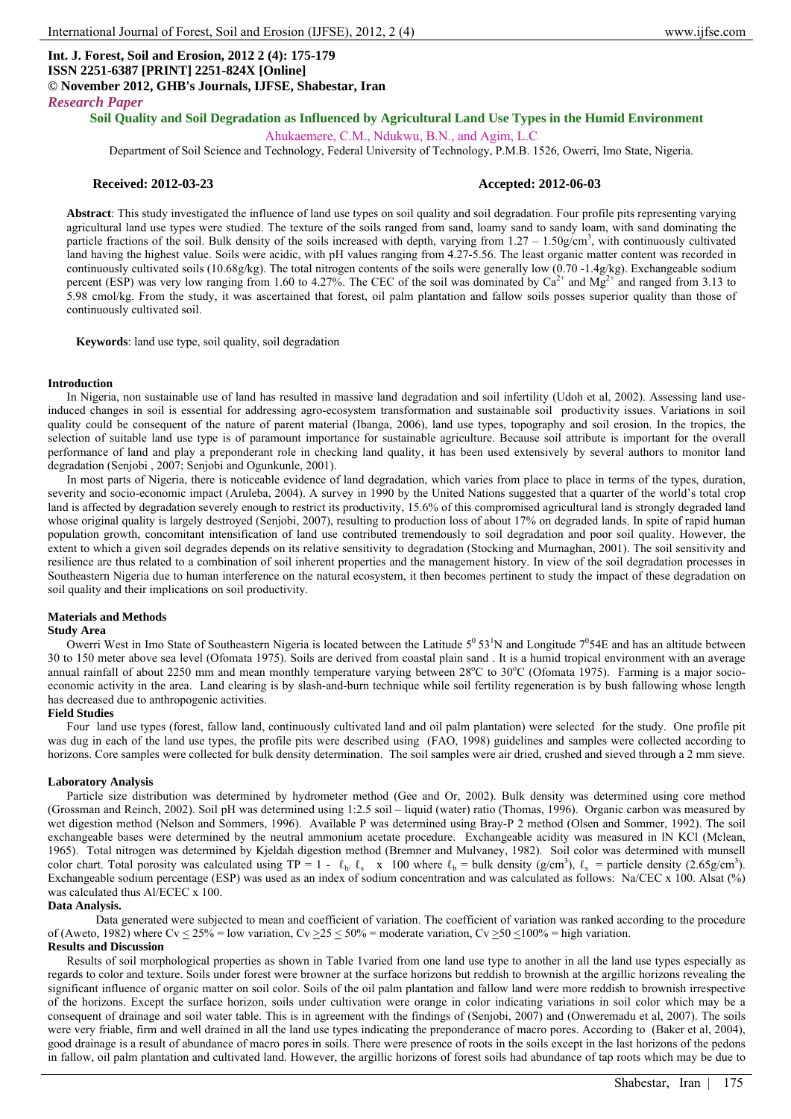# **Int. J. Forest, Soil and Erosion, 2012 2 (4): 175-179 ISSN 2251-6387 [PRINT] 2251-824X [Online] © November 2012, GHB's Journals, IJFSE, Shabestar, Iran**

*Research Paper*

# **Soil Quality and Soil Degradation as Influenced by Agricultural Land Use Types in the Humid Environment**

Ahukaemere, C.M., Ndukwu, B.N., and Agim, L.C

Department of Soil Science and Technology, Federal University of Technology, P.M.B. 1526, Owerri, Imo State, Nigeria.

### **Received: 2012-03-23 Accepted: 2012-06-03**

**Abstract**: This study investigated the influence of land use types on soil quality and soil degradation. Four profile pits representing varying agricultural land use types were studied. The texture of the soils ranged from sand, loamy sand to sandy loam, with sand dominating the particle fractions of the soil. Bulk density of the soils increased with depth, varying from  $1.27 - 1.50$  g/cm<sup>3</sup>, with continuously cultivated land having the highest value. Soils were acidic, with pH values ranging from 4.27-5.56. The least organic matter content was recorded in continuously cultivated soils (10.68g/kg). The total nitrogen contents of the soils were generally low (0.70 -1.4g/kg). Exchangeable sodium percent (ESP) was very low ranging from 1.60 to 4.27%. The CEC of the soil was dominated by  $Ca^{2+}$  and  $Mg^{2+}$  and ranged from 3.13 to 5.98 cmol/kg. From the study, it was ascertained that forest, oil palm plantation and fallow soils posses superior quality than those of continuously cultivated soil.

**Keywords**: land use type, soil quality, soil degradation

#### **Introduction**

In Nigeria, non sustainable use of land has resulted in massive land degradation and soil infertility (Udoh et al, 2002). Assessing land useinduced changes in soil is essential for addressing agro-ecosystem transformation and sustainable soil productivity issues. Variations in soil quality could be consequent of the nature of parent material (Ibanga, 2006), land use types, topography and soil erosion. In the tropics, the selection of suitable land use type is of paramount importance for sustainable agriculture. Because soil attribute is important for the overall performance of land and play a preponderant role in checking land quality, it has been used extensively by several authors to monitor land degradation (Senjobi , 2007; Senjobi and Ogunkunle, 2001).

In most parts of Nigeria, there is noticeable evidence of land degradation, which varies from place to place in terms of the types, duration, severity and socio-economic impact (Aruleba, 2004). A survey in 1990 by the United Nations suggested that a quarter of the world's total crop land is affected by degradation severely enough to restrict its productivity, 15.6% of this compromised agricultural land is strongly degraded land whose original quality is largely destroyed (Senjobi, 2007), resulting to production loss of about 17% on degraded lands. In spite of rapid human population growth, concomitant intensification of land use contributed tremendously to soil degradation and poor soil quality. However, the extent to which a given soil degrades depends on its relative sensitivity to degradation (Stocking and Murnaghan, 2001). The soil sensitivity and resilience are thus related to a combination of soil inherent properties and the management history. In view of the soil degradation processes in Southeastern Nigeria due to human interference on the natural ecosystem, it then becomes pertinent to study the impact of these degradation on soil quality and their implications on soil productivity.

# **Materials and Methods**

### **Study Area**

Owerri West in Imo State of Southeastern Nigeria is located between the Latitude  $5^0 53^1$ N and Longitude  $7^0 54E$  and has an altitude between 30 to 150 meter above sea level (Ofomata 1975). Soils are derived from coastal plain sand . It is a humid tropical environment with an average annual rainfall of about 2250 mm and mean monthly temperature varying between  $28^{\circ}$ C to  $30^{\circ}$ C (Ofomata 1975). Farming is a major socioeconomic activity in the area. Land clearing is by slash-and-burn technique while soil fertility regeneration is by bush fallowing whose length has decreased due to anthropogenic activities.

#### **Field Studies**

Four land use types (forest, fallow land, continuously cultivated land and oil palm plantation) were selected for the study. One profile pit was dug in each of the land use types, the profile pits were described using (FAO, 1998) guidelines and samples were collected according to horizons. Core samples were collected for bulk density determination. The soil samples were air dried, crushed and sieved through a 2 mm sieve.

#### **Laboratory Analysis**

Particle size distribution was determined by hydrometer method (Gee and Or, 2002). Bulk density was determined using core method (Grossman and Reinch, 2002). Soil pH was determined using 1:2.5 soil – liquid (water) ratio (Thomas, 1996). Organic carbon was measured by wet digestion method (Nelson and Sommers, 1996). Available P was determined using Bray-P 2 method (Olsen and Sommer, 1992). The soil exchangeable bases were determined by the neutral ammonium acetate procedure. Exchangeable acidity was measured in lN KCl (Mclean, 1965). Total nitrogen was determined by Kjeldah digestion method (Bremner and Mulvaney, 1982). Soil color was determined with munsell color chart. Total porosity was calculated using TP = 1 -  $\ell_{b'} \ell_s$  x 100 where  $\ell_b$  = bulk density (g/cm<sup>3</sup>),  $\ell_s$  = particle density (2.65g/cm<sup>3</sup>). Exchangeable sodium percentage (ESP) was used as an index of sodium concentration and was calculated as follows: Na/CEC x 100. Alsat (%) was calculated thus Al/ECEC x 100.

#### **Data Analysis.**

Data generated were subjected to mean and coefficient of variation. The coefficient of variation was ranked according to the procedure of (Aweto, 1982) where Cv  $\leq$  25% = low variation, Cv  $\geq$  25  $\leq$  50% = moderate variation, Cv  $\geq$  50  $\leq$  100% = high variation.

# **Results and Discussion**

Results of soil morphological properties as shown in Table 1varied from one land use type to another in all the land use types especially as regards to color and texture. Soils under forest were browner at the surface horizons but reddish to brownish at the argillic horizons revealing the significant influence of organic matter on soil color. Soils of the oil palm plantation and fallow land were more reddish to brownish irrespective of the horizons. Except the surface horizon, soils under cultivation were orange in color indicating variations in soil color which may be a consequent of drainage and soil water table. This is in agreement with the findings of (Senjobi, 2007) and (Onweremadu et al, 2007). The soils were very friable, firm and well drained in all the land use types indicating the preponderance of macro pores. According to (Baker et al, 2004), good drainage is a result of abundance of macro pores in soils. There were presence of roots in the soils except in the last horizons of the pedons in fallow, oil palm plantation and cultivated land. However, the argillic horizons of forest soils had abundance of tap roots which may be due to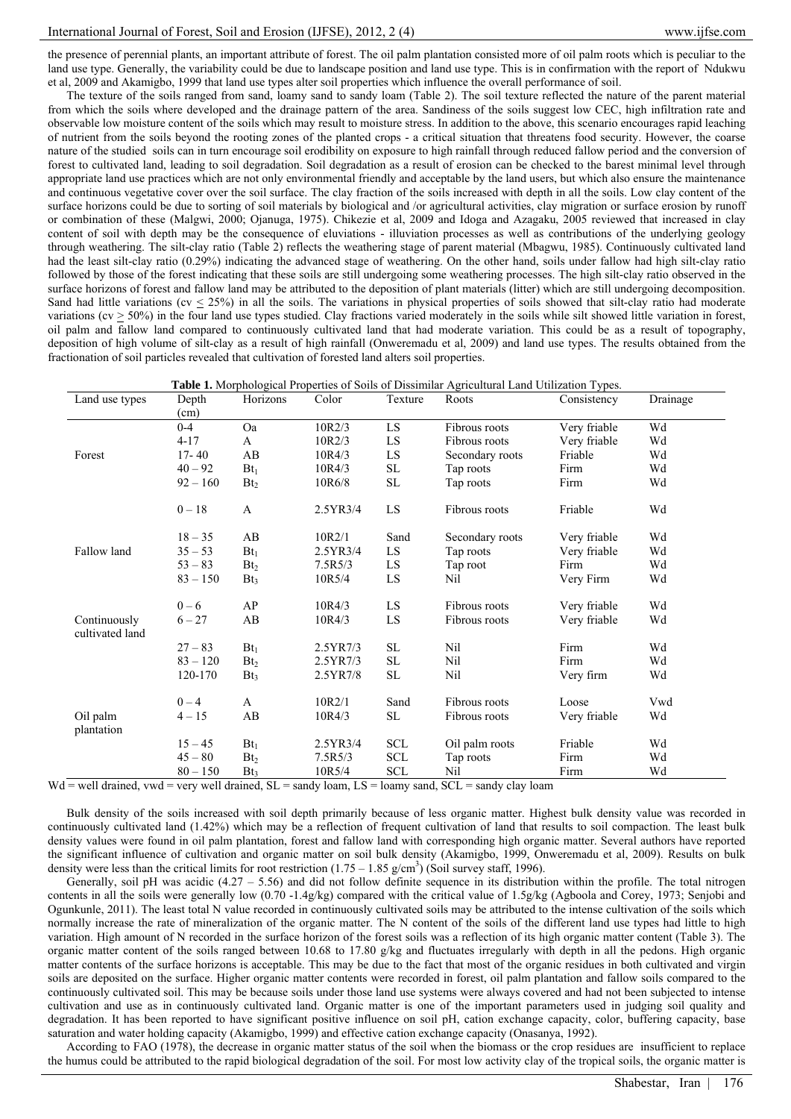the presence of perennial plants, an important attribute of forest. The oil palm plantation consisted more of oil palm roots which is peculiar to the land use type. Generally, the variability could be due to landscape position and land use type. This is in confirmation with the report of Ndukwu et al, 2009 and Akamigbo, 1999 that land use types alter soil properties which influence the overall performance of soil.

The texture of the soils ranged from sand, loamy sand to sandy loam (Table 2). The soil texture reflected the nature of the parent material from which the soils where developed and the drainage pattern of the area. Sandiness of the soils suggest low CEC, high infiltration rate and observable low moisture content of the soils which may result to moisture stress. In addition to the above, this scenario encourages rapid leaching of nutrient from the soils beyond the rooting zones of the planted crops - a critical situation that threatens food security. However, the coarse nature of the studied soils can in turn encourage soil erodibility on exposure to high rainfall through reduced fallow period and the conversion of forest to cultivated land, leading to soil degradation. Soil degradation as a result of erosion can be checked to the barest minimal level through appropriate land use practices which are not only environmental friendly and acceptable by the land users, but which also ensure the maintenance and continuous vegetative cover over the soil surface. The clay fraction of the soils increased with depth in all the soils. Low clay content of the surface horizons could be due to sorting of soil materials by biological and /or agricultural activities, clay migration or surface erosion by runoff or combination of these (Malgwi, 2000; Ojanuga, 1975). Chikezie et al, 2009 and Idoga and Azagaku, 2005 reviewed that increased in clay content of soil with depth may be the consequence of eluviations - illuviation processes as well as contributions of the underlying geology through weathering. The silt-clay ratio (Table 2) reflects the weathering stage of parent material (Mbagwu, 1985). Continuously cultivated land had the least silt-clay ratio (0.29%) indicating the advanced stage of weathering. On the other hand, soils under fallow had high silt-clay ratio followed by those of the forest indicating that these soils are still undergoing some weathering processes. The high silt-clay ratio observed in the surface horizons of forest and fallow land may be attributed to the deposition of plant materials (litter) which are still undergoing decomposition. Sand had little variations ( $cv < 25\%$ ) in all the soils. The variations in physical properties of soils showed that silt-clay ratio had moderate variations ( $cv \ge 50\%$ ) in the four land use types studied. Clay fractions varied moderately in the soils while silt showed little variation in forest, oil palm and fallow land compared to continuously cultivated land that had moderate variation. This could be as a result of topography, deposition of high volume of silt-clay as a result of high rainfall (Onweremadu et al, 2009) and land use types. The results obtained from the fractionation of soil particles revealed that cultivation of forested land alters soil properties.

|  | Table 1. Morphological Properties of Soils of Dissimilar Agricultural Land Utilization Types. |  |
|--|-----------------------------------------------------------------------------------------------|--|
|  |                                                                                               |  |

| Land use types                                                                                                                             | Depth      | Horizons        | Color    | Texture             | Roots           | Consistency  | Drainage |
|--------------------------------------------------------------------------------------------------------------------------------------------|------------|-----------------|----------|---------------------|-----------------|--------------|----------|
|                                                                                                                                            | (cm)       |                 |          |                     |                 |              |          |
|                                                                                                                                            | $0 - 4$    | <b>Oa</b>       | 10R2/3   | LS.                 | Fibrous roots   | Very friable | Wd       |
|                                                                                                                                            | $4 - 17$   | A               | 10R2/3   | ${\rm LS}$          | Fibrous roots   | Very friable | Wd       |
| Forest                                                                                                                                     | $17 - 40$  | AB              | 10R4/3   | LS                  | Secondary roots | Friable      | Wd       |
|                                                                                                                                            | $40 - 92$  | $Bt_1$          | 10R4/3   | $\operatorname{SL}$ | Tap roots       | Firm         | Wd       |
|                                                                                                                                            | $92 - 160$ | Bt <sub>2</sub> | 10R6/8   | $\operatorname{SL}$ | Tap roots       | Firm         | Wd       |
|                                                                                                                                            | $0 - 18$   | $\mathbf{A}$    | 2.5YR3/4 | LS                  | Fibrous roots   | Friable      | Wd       |
|                                                                                                                                            | $18 - 35$  | AB              | 10R2/1   | Sand                | Secondary roots | Very friable | Wd       |
| Fallow land                                                                                                                                | $35 - 53$  | $Bt_1$          | 2.5YR3/4 | LS                  | Tap roots       | Very friable | Wd       |
|                                                                                                                                            | $53 - 83$  | Bt <sub>2</sub> | 7.5R5/3  | LS                  | Tap root        | Firm         | Wd       |
|                                                                                                                                            | $83 - 150$ | $Bt_3$          | 10R5/4   | ${\rm LS}$          | Nil             | Very Firm    | Wd       |
|                                                                                                                                            | $0 - 6$    | AP              | 10R4/3   | LS                  | Fibrous roots   | Very friable | Wd       |
| Continuously<br>cultivated land                                                                                                            | $6 - 27$   | AB              | 10R4/3   | LS                  | Fibrous roots   | Very friable | Wd       |
|                                                                                                                                            | $27 - 83$  | $Bt_1$          | 2.5YR7/3 | SL                  | Nil             | Firm         | Wd       |
|                                                                                                                                            | $83 - 120$ | Bt <sub>2</sub> | 2.5YR7/3 | SL                  | Nil             | Firm         | Wd       |
|                                                                                                                                            | 120-170    | Bt <sub>3</sub> | 2.5YR7/8 | SL                  | Nil             | Very firm    | Wd       |
|                                                                                                                                            | $0 - 4$    | A               | 10R2/1   | Sand                | Fibrous roots   | Loose        | Vwd      |
| Oil palm<br>plantation                                                                                                                     | $4 - 15$   | AB              | 10R4/3   | SL                  | Fibrous roots   | Very friable | Wd       |
|                                                                                                                                            | $15 - 45$  | $Bt_1$          | 2.5YR3/4 | <b>SCL</b>          | Oil palm roots  | Friable      | Wd       |
|                                                                                                                                            | $45 - 80$  | Bt <sub>2</sub> | 7.5R5/3  | <b>SCL</b>          | Tap roots       | Firm         | Wd       |
| $=$ your dependence of the contract $\mathcal{C}$ of $\mathcal{C}$ and $\mathcal{C}$ and $\mathcal{C}$ and $\mathcal{C}$ and $\mathcal{C}$ | $80 - 150$ | Bt <sub>3</sub> | 10R5/4   | <b>SCL</b>          | Nil             | Firm         | Wd       |

 $Wd$  = well drained, vwd = very well drained,  $SL$  = sandy loam,  $LS$  = loamy sand,  $SCL$  = sandy clay loam

Bulk density of the soils increased with soil depth primarily because of less organic matter. Highest bulk density value was recorded in continuously cultivated land (1.42%) which may be a reflection of frequent cultivation of land that results to soil compaction. The least bulk density values were found in oil palm plantation, forest and fallow land with corresponding high organic matter. Several authors have reported the significant influence of cultivation and organic matter on soil bulk density (Akamigbo, 1999, Onweremadu et al, 2009). Results on bulk density were less than the critical limits for root restriction  $(1.75 - 1.85 \text{ g/cm}^3)$  (Soil survey staff, 1996).

Generally, soil pH was acidic  $(4.27 - 5.56)$  and did not follow definite sequence in its distribution within the profile. The total nitrogen contents in all the soils were generally low (0.70 -1.4g/kg) compared with the critical value of 1.5g/kg (Agboola and Corey, 1973; Senjobi and Ogunkunle, 2011). The least total N value recorded in continuously cultivated soils may be attributed to the intense cultivation of the soils which normally increase the rate of mineralization of the organic matter. The N content of the soils of the different land use types had little to high variation. High amount of N recorded in the surface horizon of the forest soils was a reflection of its high organic matter content (Table 3). The organic matter content of the soils ranged between 10.68 to 17.80 g/kg and fluctuates irregularly with depth in all the pedons. High organic matter contents of the surface horizons is acceptable. This may be due to the fact that most of the organic residues in both cultivated and virgin soils are deposited on the surface. Higher organic matter contents were recorded in forest, oil palm plantation and fallow soils compared to the continuously cultivated soil. This may be because soils under those land use systems were always covered and had not been subjected to intense cultivation and use as in continuously cultivated land. Organic matter is one of the important parameters used in judging soil quality and degradation. It has been reported to have significant positive influence on soil pH, cation exchange capacity, color, buffering capacity, base saturation and water holding capacity (Akamigbo, 1999) and effective cation exchange capacity (Onasanya, 1992).

According to FAO (1978), the decrease in organic matter status of the soil when the biomass or the crop residues are insufficient to replace the humus could be attributed to the rapid biological degradation of the soil. For most low activity clay of the tropical soils, the organic matter is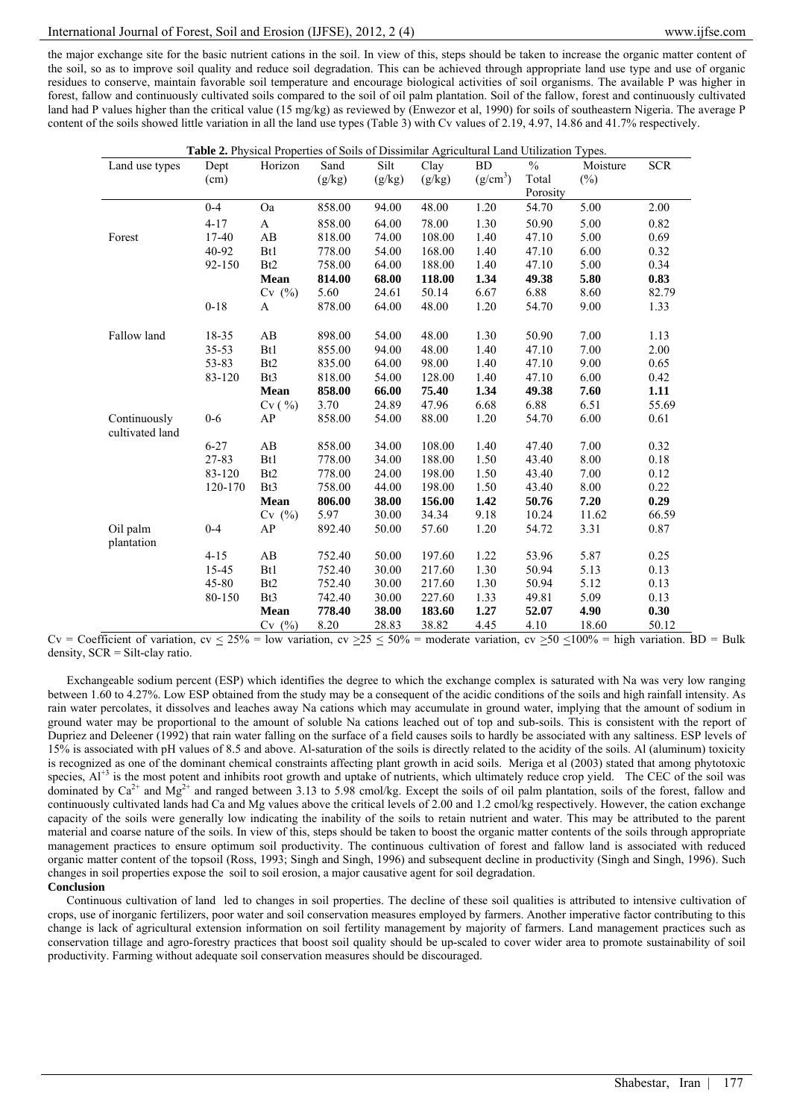the major exchange site for the basic nutrient cations in the soil. In view of this, steps should be taken to increase the organic matter content of the soil, so as to improve soil quality and reduce soil degradation. This can be achieved through appropriate land use type and use of organic residues to conserve, maintain favorable soil temperature and encourage biological activities of soil organisms. The available P was higher in forest, fallow and continuously cultivated soils compared to the soil of oil palm plantation. Soil of the fallow, forest and continuously cultivated land had P values higher than the critical value (15 mg/kg) as reviewed by (Enwezor et al, 1990) for soils of southeastern Nigeria. The average P content of the soils showed little variation in all the land use types (Table 3) with Cv values of 2.19, 4.97, 14.86 and 41.7% respectively.

|                 | Table 2. Physical Properties of Soils of Dissimilar Agricultural Land Utilization Types. |                        |        |        |        |                      |               |          |            |
|-----------------|------------------------------------------------------------------------------------------|------------------------|--------|--------|--------|----------------------|---------------|----------|------------|
| Land use types  | Dept                                                                                     | Horizon                | Sand   | Silt   | Clay   | <b>BD</b>            | $\frac{0}{0}$ | Moisture | <b>SCR</b> |
|                 | (cm)                                                                                     |                        | (g/kg) | (g/kg) | (g/kg) | (g/cm <sup>3</sup> ) | Total         | $(\%)$   |            |
|                 |                                                                                          |                        |        |        |        |                      | Porosity      |          |            |
|                 | $0 - 4$                                                                                  | Oa                     | 858.00 | 94.00  | 48.00  | $1.20\,$             | 54.70         | 5.00     | 2.00       |
|                 | $4 - 17$                                                                                 | A                      | 858.00 | 64.00  | 78.00  | 1.30                 | 50.90         | 5.00     | 0.82       |
| Forest          | $17 - 40$                                                                                | AB                     | 818.00 | 74.00  | 108.00 | 1.40                 | 47.10         | 5.00     | 0.69       |
|                 | 40-92                                                                                    | B <sub>t1</sub>        | 778.00 | 54.00  | 168.00 | 1.40                 | 47.10         | 6.00     | 0.32       |
|                 | 92-150                                                                                   | B <sub>t2</sub>        | 758.00 | 64.00  | 188.00 | 1.40                 | 47.10         | 5.00     | 0.34       |
|                 |                                                                                          | Mean                   | 814.00 | 68.00  | 118.00 | 1.34                 | 49.38         | 5.80     | 0.83       |
|                 |                                                                                          | $Cv$ (%)               | 5.60   | 24.61  | 50.14  | 6.67                 | 6.88          | 8.60     | 82.79      |
|                 | $0 - 18$                                                                                 | A                      | 878.00 | 64.00  | 48.00  | 1.20                 | 54.70         | 9.00     | 1.33       |
|                 |                                                                                          |                        |        |        |        |                      |               |          |            |
| Fallow land     | 18-35                                                                                    | AB                     | 898.00 | 54.00  | 48.00  | 1.30                 | 50.90         | 7.00     | 1.13       |
|                 | $35 - 53$                                                                                | Bt1                    | 855.00 | 94.00  | 48.00  | 1.40                 | 47.10         | 7.00     | 2.00       |
|                 | 53-83                                                                                    | B <sub>t2</sub>        | 835.00 | 64.00  | 98.00  | 1.40                 | 47.10         | 9.00     | 0.65       |
|                 | 83-120                                                                                   | Bt3                    | 818.00 | 54.00  | 128.00 | 1.40                 | 47.10         | 6.00     | 0.42       |
|                 |                                                                                          | Mean                   | 858.00 | 66.00  | 75.40  | 1.34                 | 49.38         | 7.60     | 1.11       |
|                 |                                                                                          | Cv( %)                 | 3.70   | 24.89  | 47.96  | 6.68                 | 6.88          | 6.51     | 55.69      |
| Continuously    | $0-6$                                                                                    | AP                     | 858.00 | 54.00  | 88.00  | 1.20                 | 54.70         | 6.00     | 0.61       |
| cultivated land |                                                                                          |                        |        |        |        |                      |               |          |            |
|                 | $6 - 27$                                                                                 | AB                     | 858.00 | 34.00  | 108.00 | 1.40                 | 47.40         | 7.00     | 0.32       |
|                 | 27-83                                                                                    | Bt1                    | 778.00 | 34.00  | 188.00 | 1.50                 | 43.40         | 8.00     | 0.18       |
|                 | 83-120                                                                                   | B <sub>t2</sub>        | 778.00 | 24.00  | 198.00 | 1.50                 | 43.40         | 7.00     | 0.12       |
|                 | 120-170                                                                                  | B <sub>t</sub> 3       | 758.00 | 44.00  | 198.00 | 1.50                 | 43.40         | 8.00     | 0.22       |
|                 |                                                                                          | Mean                   | 806.00 | 38.00  | 156.00 | 1.42                 | 50.76         | 7.20     | 0.29       |
|                 |                                                                                          | $Cv$ (%)               | 5.97   | 30.00  | 34.34  | 9.18                 | 10.24         | 11.62    | 66.59      |
| Oil palm        | $0 - 4$                                                                                  | AP                     | 892.40 | 50.00  | 57.60  | 1.20                 | 54.72         | 3.31     | 0.87       |
| plantation      |                                                                                          |                        |        |        |        |                      |               |          |            |
|                 | $4 - 15$                                                                                 | $\mathbf{A}\mathbf{B}$ | 752.40 | 50.00  | 197.60 | 1.22                 | 53.96         | 5.87     | 0.25       |
|                 | 15-45                                                                                    | Bt1                    | 752.40 | 30.00  | 217.60 | 1.30                 | 50.94         | 5.13     | 0.13       |
|                 | 45-80                                                                                    | B <sub>t2</sub>        | 752.40 | 30.00  | 217.60 | 1.30                 | 50.94         | 5.12     | 0.13       |
|                 | 80-150                                                                                   | Bt3                    | 742.40 | 30.00  | 227.60 | 1.33                 | 49.81         | 5.09     | 0.13       |
|                 |                                                                                          | Mean                   | 778.40 | 38.00  | 183.60 | 1.27                 | 52.07         | 4.90     | 0.30       |
|                 |                                                                                          | Cv(%)                  | 8.20   | 28.83  | 38.82  | 4.45                 | 4.10          | 18.60    | 50.12      |

Cv = Coefficient of variation, cv  $\leq 25\%$  = low variation, cv  $\geq 25 \leq 50\%$  = moderate variation, cv  $\geq 50 \leq 100\%$  = high variation. BD = Bulk density, SCR = Silt-clay ratio.

Exchangeable sodium percent (ESP) which identifies the degree to which the exchange complex is saturated with Na was very low ranging between 1.60 to 4.27%. Low ESP obtained from the study may be a consequent of the acidic conditions of the soils and high rainfall intensity. As rain water percolates, it dissolves and leaches away Na cations which may accumulate in ground water, implying that the amount of sodium in ground water may be proportional to the amount of soluble Na cations leached out of top and sub-soils. This is consistent with the report of Dupriez and Deleener (1992) that rain water falling on the surface of a field causes soils to hardly be associated with any saltiness. ESP levels of 15% is associated with pH values of 8.5 and above. Al-saturation of the soils is directly related to the acidity of the soils. Al (aluminum) toxicity is recognized as one of the dominant chemical constraints affecting plant growth in acid soils. Meriga et al (2003) stated that among phytotoxic species, Al<sup>+3</sup> is the most potent and inhibits root growth and uptake of nutrients, which ultimately reduce crop yield. The CEC of the soil was dominated by  $Ca^{2+}$  and  $Mg^{2+}$  and ranged between 3.13 to 5.98 cmol/kg. Except the soils of oil palm plantation, soils of the forest, fallow and continuously cultivated lands had Ca and Mg values above the critical levels of 2.00 and 1.2 cmol/kg respectively. However, the cation exchange capacity of the soils were generally low indicating the inability of the soils to retain nutrient and water. This may be attributed to the parent material and coarse nature of the soils. In view of this, steps should be taken to boost the organic matter contents of the soils through appropriate management practices to ensure optimum soil productivity. The continuous cultivation of forest and fallow land is associated with reduced organic matter content of the topsoil (Ross, 1993; Singh and Singh, 1996) and subsequent decline in productivity (Singh and Singh, 1996). Such changes in soil properties expose the soil to soil erosion, a major causative agent for soil degradation. **Conclusion**

Continuous cultivation of land led to changes in soil properties. The decline of these soil qualities is attributed to intensive cultivation of crops, use of inorganic fertilizers, poor water and soil conservation measures employed by farmers. Another imperative factor contributing to this change is lack of agricultural extension information on soil fertility management by majority of farmers. Land management practices such as conservation tillage and agro-forestry practices that boost soil quality should be up-scaled to cover wider area to promote sustainability of soil productivity. Farming without adequate soil conservation measures should be discouraged.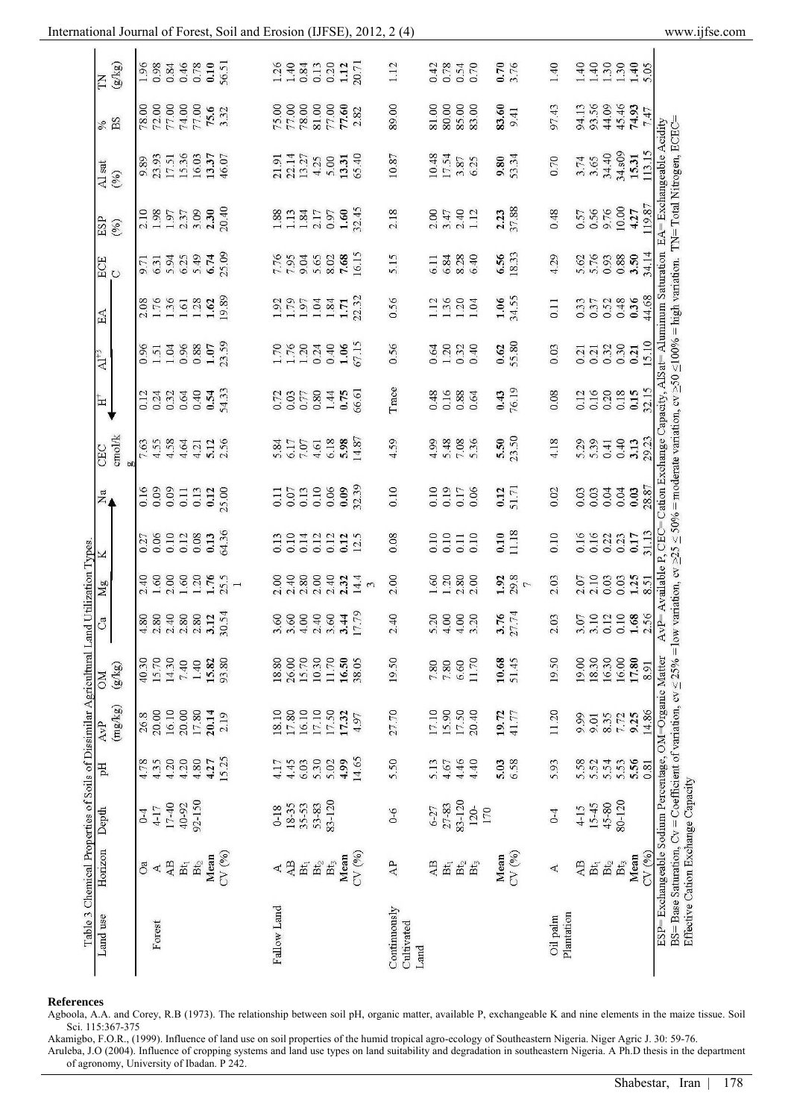| Land use            | Forest                                                                       |                  |                           |                                    |                |                     | Fallow Land      |                                                     |                                                                                                                                                                                                                                                                                                               |                         |                | Continuously<br>Cultivated<br>Land |                     |                                      |                                |       |                 | Oil palm         | Plantation |                        |                 |                                                |       |        |
|---------------------|------------------------------------------------------------------------------|------------------|---------------------------|------------------------------------|----------------|---------------------|------------------|-----------------------------------------------------|---------------------------------------------------------------------------------------------------------------------------------------------------------------------------------------------------------------------------------------------------------------------------------------------------------------|-------------------------|----------------|------------------------------------|---------------------|--------------------------------------|--------------------------------|-------|-----------------|------------------|------------|------------------------|-----------------|------------------------------------------------|-------|--------|
| Horizon Depth       | O <sub>a</sub><br>∢                                                          | AB               | $\mathbf{B} \mathbf{t}_1$ | $\mathbf{B} t_2$                   | Mean           | CV (%)              | $\blacktriangle$ | $\mathbf{A}\mathbf{B}$<br>$\mathbf{B} \mathbf{t}_1$ | $\mathbf{B} t_2$                                                                                                                                                                                                                                                                                              | Mean<br>Bt <sub>3</sub> | CV (%)         | $\mathbb{A}\mathbb{P}$             | AB                  | $\mathrm{Bf}_2$<br>$\mathbf{B}t_{1}$ | $\mathrm{B}\mathrm{t}_3$       | Mean  | CV (%)          | $\mathcal{A}$    | AB         | $\mathbf{B}\mathbf{t}$ | $\mathrm{B}t_2$ | $\mathrm{Bt}_3$                                | Mean  | CV (%) |
|                     | $4-17$<br>$0-4$                                                              | 17-40            | 40-92                     | 92-150                             |                |                     | $0 - 18$         | $18-35$<br>35-53                                    | 53-83                                                                                                                                                                                                                                                                                                         | 83-120                  |                | $0 - 6$                            | $6 - 27$            | 83-120<br>27-83                      | 120-<br>170                    |       |                 | $0-4$            | $4 - 15$   | 15-45                  | 45-80           | 80-120                                         |       |        |
| Ę                   | 4.35<br>4.78                                                                 | 4.20             | 4.20                      | 4.80                               | 4.27           | 15.25               | 4.17             | 6.03<br>4.45                                        | 5.30                                                                                                                                                                                                                                                                                                          | 4.99<br>5.02            | 14.65          | 5.50                               | 5.13                | 4.46<br>4.67                         | 4.40                           | 5.03  | 6.58            | 5.93             | 5.58       | 5.52                   | 5.54            | 5.53                                           | 5.56  | 0.81   |
| (mg/kg)<br>AvP      | 20.00<br>26.8                                                                | 16.10            | 20.00                     | 17.80                              | 20.14          | 2.19                | 18.10            | 16.10<br>$17.80\,$                                  | 17.10                                                                                                                                                                                                                                                                                                         | 17.50<br>17.32          | 4.97           | 27.70                              | 17.10               | 15.90<br>17.50                       | 20.40                          | 19.72 | 41.77           | 11.20            | 9.99       | 9.01                   | 8.35            | $7.72$<br>9.25                                 |       | 14.86  |
| (g/kg)<br><b>MO</b> | 15.70<br>40.30                                                               | 14.30            |                           | $7.40$<br>$1.40$                   | 15.82<br>93.80 |                     | 18.80            | 26.00                                               | 10.30                                                                                                                                                                                                                                                                                                         | 11.70<br>16.50          | 38.05          | 1950                               | $\frac{7.80}{7.80}$ | 6.60                                 | 11.70                          | 10.68 | 51.45           | 1950             | 19.00      | 18.30                  | 16.30           | 16.00                                          | 17.80 | 8.91   |
| ී                   | $4.80$<br>$4.80$<br>$4.80$<br>$4.80$<br>$4.80$<br>$4.12$<br>$4.12$<br>$5.12$ |                  |                           |                                    |                |                     |                  |                                                     | $0.0884840$<br>$0.0840440$<br>$0.79$                                                                                                                                                                                                                                                                          |                         |                | 2.40                               |                     |                                      | $5.20$<br>$4.00$<br>$4.00$     |       | $3.76$<br>27.74 | 2.03             |            |                        |                 | $3.10$<br>$3.10$<br>$0.10$<br>$1.68$           |       | 2.56   |
| $\overline{Mg}$     | 2.40                                                                         | $1.60$<br>$2.00$ |                           |                                    |                | $\frac{1885}{1752}$ | 2.00             | 2.40                                                | 2.00                                                                                                                                                                                                                                                                                                          | 2.40<br>2.32            | 14.4<br>$\sim$ | 2.00                               | <b>60</b>           | 1.20                                 | $2.80$<br>$2.00$               | 1.92  | 29.8            | 2.03             | 2.07       | 2.10                   | 0.03            | 0.03                                           | 1.25  | 8.51   |
|                     | $0.27$<br>0.06<br>0.10                                                       |                  |                           | $\frac{12}{0.38}$<br>0.13<br>64.36 |                |                     |                  |                                                     | 0.1011<br>0.1011<br>0.0011                                                                                                                                                                                                                                                                                    |                         | 0.12.5         | 0.08                               | 0.10                | 0.11                                 | 0.10                           | 0.10  | 11.18           | 0.10             | 0.16       | 0.16                   | 0.22            | 0.23                                           | 0.17  | 31.13  |
| $\overline{z}_a$    | $0.16$<br>0.09                                                               |                  |                           |                                    |                |                     |                  |                                                     | $\begin{array}{c} 0.11 \\ 0.07 \\ 0.13 \\ 0.06 \\ 0.08 \\ 0.09 \\ 0.33 \end{array}$                                                                                                                                                                                                                           |                         |                | 0.10                               |                     | 0.19<br>0.19<br>0.17                 | 0.06                           | 0.12  | 51.71           | 0.02             | 0.03       | 0.03                   | 0.04            | 0.04                                           | 0.03  | 28.8   |
| cmol/k<br>CEC       | $7.56$<br>$4.58$                                                             |                  |                           | $\frac{4.64}{4.21}$                | 5.12           |                     |                  |                                                     | 2815<br>2015<br>2015<br>2015<br>2015                                                                                                                                                                                                                                                                          |                         |                | 4.59                               |                     |                                      | 4.98<br>5.48<br>5.36           |       | 5.50<br>23.50   | 4.18             |            | 5.39                   |                 | $0.41$<br>$0.40$                               | 3.13  | 29.23  |
| 눕                   | 0.12                                                                         | $0.24$<br>$0.32$ |                           | $0.64$<br>$0.54$<br>$0.53$         |                |                     |                  |                                                     |                                                                                                                                                                                                                                                                                                               |                         |                | Trace                              | 0.16                | 0.88                                 | 0.64                           |       | $0.43$<br>76.19 | 0.08             | 0.12       | 0.16                   | 0.20            | 0.18                                           | 0.15  | 32.15  |
| $AI^{+3}$           | $0.5138857$<br>$-1.58857$<br>$-1.59$                                         |                  |                           |                                    |                |                     |                  |                                                     | 28839852                                                                                                                                                                                                                                                                                                      |                         |                | 0.56                               |                     |                                      | $0.334$<br>$0.324$             |       | $0.62$<br>55.80 | 0.03             |            |                        |                 | aaaaa<br>03388                                 |       | 15.10  |
| EA                  | $2.56$<br>$1.56$<br>$1.28$<br>$1.28$<br>$1.98$                               |                  |                           |                                    |                |                     |                  |                                                     | $1.7854$<br>$1.7974$<br>$1.732$<br>$1.732$                                                                                                                                                                                                                                                                    |                         |                | 0.56                               |                     |                                      | $\frac{136}{1.30}$             |       | 1.06<br>34.55   | $\overline{0}$ . |            |                        |                 | 0.37<br>0.37<br>0.37<br>0.36                   |       | 44.68  |
| ECE<br>C            | 5.333378<br>5.333378                                                         |                  |                           |                                    |                |                     |                  |                                                     | 7.56<br>7.956<br>8.68<br>16.15                                                                                                                                                                                                                                                                                |                         |                | 5.15                               |                     |                                      | 6.11<br>6.84<br>6.40           |       | 6.56            | 4.29             |            |                        |                 | 5.76385                                        |       | 34.1   |
| ESP<br>(%)          | 2.1985<br>1985<br>2.378<br>2.3040                                            |                  |                           |                                    |                |                     |                  |                                                     | $\begin{array}{c} 1.88 \\ 1.13 \\ 1.34 \\ 2.17 \\ 0.97 \\ 1.60 \\ 1.24 \\ 1.32 \\ 1.34 \\ 1.32 \\ 1.33 \\ 1.34 \\ 1.35 \\ 1.36 \\ 1.37 \\ 1.38 \\ 1.38 \\ 1.38 \\ 1.38 \\ 1.38 \\ 1.38 \\ 1.38 \\ 1.38 \\ 1.38 \\ 1.38 \\ 1.38 \\ 1.38 \\ 1.38 \\ 1.38 \\ 1.38 \\ 1.38 \\ 1.38 \\ 1.38 \\ 1.38 \\ 1.38 \\ 1.$ |                         |                | 2.18                               |                     | $2.47$<br>$2.40$                     | 1.12                           | 2.23  | 37.88           | 0.48             | 0.57       | 0.56                   | 9.76            | 10.00                                          | 4.27  | 19.87  |
| Al sat<br>(96)      | 9.89<br>23.93<br>25.36<br>25.37<br>25.37<br>26.07                            |                  |                           |                                    |                |                     |                  |                                                     | 211223848<br>22224<br>2234524                                                                                                                                                                                                                                                                                 |                         |                | 10.87                              |                     |                                      | 10.48<br>17.54<br>5.87<br>6.25 | 9.80  | 53.34           | 0.70             |            | 3.74                   |                 | 34.40<br>34.s09<br>15.31                       |       | 113.15 |
| BS<br>$\sqrt{6}$    | 78.00<br>72.00<br>74.00<br>75.6<br>73.32                                     |                  |                           |                                    |                |                     |                  |                                                     | 75.00<br>77.00<br>81.00<br>77.60<br>2.82                                                                                                                                                                                                                                                                      |                         |                | 89.00                              | 81.00               | 80.00                                | 85.00<br>83.00                 | 83.60 | 9.41            | 97.43            |            |                        |                 | 94.13<br>93.56<br>44.49<br>74.93               |       | 7.47   |
| $(2\sqrt{5})$<br>E  | 1968<br>0.3846<br>0.10<br>56.51                                              |                  |                           |                                    |                |                     |                  |                                                     | $1.48$<br>$1.43$<br>$0.33$<br>$0.12$<br>$1.12$<br>20.71                                                                                                                                                                                                                                                       |                         |                | 112                                | $0.42$<br>0.78      |                                      | $0.54$<br>$0.70$               |       | 0.70            | 1.40             |            |                        |                 | $1.40$<br>$1.30$<br>$1.30$<br>$1.40$<br>$1.50$ |       |        |

#### **References**

Agboola, A.A. and Corey, R.B (1973). The relationship between soil pH, organic matter, available P, exchangeable K and nine elements in the maize tissue. Soil Sci. 115:367-375

Akamigbo, F.O.R., (1999). Influence of land use on soil properties of the humid tropical agro-ecology of Southeastern Nigeria. Niger Agric J. 30: 59-76. Aruleba, J.O (2004). Influence of cropping systems and land use types on land suitability and degradation in southeastern Nigeria. A Ph.D thesis in the department of agronomy, University of Ibadan. P 242.